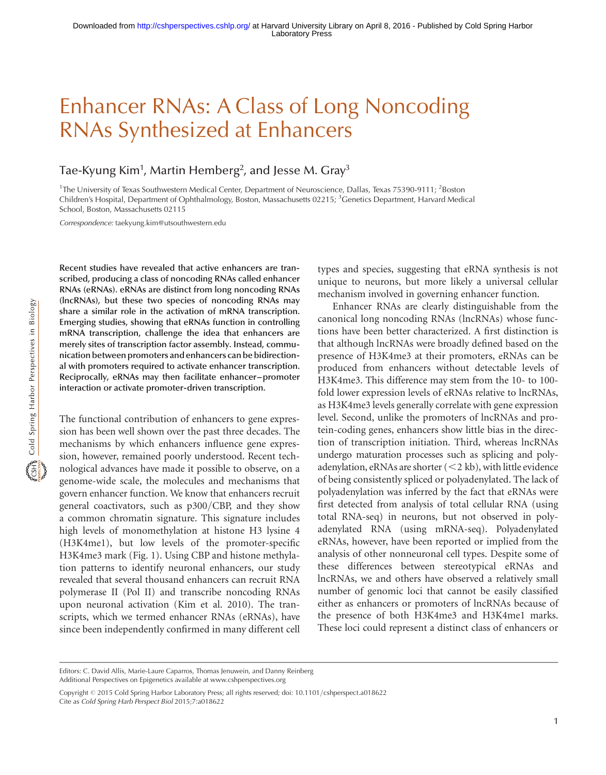# Enhancer RNAs: A Class of Long Noncoding RNAs Synthesized at Enhancers

### Tae-Kyung Kim $^1$ , Martin Hemberg $^2$ , and Jesse M. Gray $^3$

<sup>1</sup>The University of Texas Southwestern Medical Center, Department of Neuroscience, Dallas, Texas 75390-9111; <sup>2</sup>Boston Children's Hospital, Department of Ophthalmology, Boston, Massachusetts 02215; <sup>3</sup>Genetics Department, Harvard Medical School, Boston, Massachusetts 02115

Correspondence: taekyung.kim@utsouthwestern.edu

**Property** Cold Spring Harbor Perspectives in Biology

Recent studies have revealed that active enhancers are transcribed, producing a class of noncoding RNAs called enhancer RNAs (eRNAs). eRNAs are distinct from long noncoding RNAs (lncRNAs), but these two species of noncoding RNAs may share a similar role in the activation of mRNA transcription. Emerging studies, showing that eRNAs function in controlling mRNA transcription, challenge the idea that enhancers are merely sites of transcription factor assembly. Instead, communication between promoters and enhancers can be bidirectional with promoters required to activate enhancer transcription. Reciprocally, eRNAs may then facilitate enhancer–promoter interaction or activate promoter-driven transcription.

The functional contribution of enhancers to gene expression has been well shown over the past three decades. The mechanisms by which enhancers influence gene expression, however, remained poorly understood. Recent technological advances have made it possible to observe, on a genome-wide scale, the molecules and mechanisms that govern enhancer function. We know that enhancers recruit general coactivators, such as p300/CBP, and they show a common chromatin signature. This signature includes high levels of monomethylation at histone H3 lysine 4 (H3K4me1), but low levels of the promoter-specific H3K4me3 mark (Fig. 1). Using CBP and histone methylation patterns to identify neuronal enhancers, our study revealed that several thousand enhancers can recruit RNA polymerase II (Pol II) and transcribe noncoding RNAs upon neuronal activation (Kim et al. 2010). The transcripts, which we termed enhancer RNAs (eRNAs), have since been independently confirmed in many different cell types and species, suggesting that eRNA synthesis is not unique to neurons, but more likely a universal cellular mechanism involved in governing enhancer function.

Enhancer RNAs are clearly distinguishable from the canonical long noncoding RNAs (lncRNAs) whose functions have been better characterized. A first distinction is that although lncRNAs were broadly defined based on the presence of H3K4me3 at their promoters, eRNAs can be produced from enhancers without detectable levels of H3K4me3. This difference may stem from the 10- to 100 fold lower expression levels of eRNAs relative to lncRNAs, as H3K4me3 levels generally correlate with gene expression level. Second, unlike the promoters of lncRNAs and protein-coding genes, enhancers show little bias in the direction of transcription initiation. Third, whereas lncRNAs undergo maturation processes such as splicing and polyadenylation, eRNAs are shorter  $(< 2$  kb), with little evidence of being consistently spliced or polyadenylated. The lack of polyadenylation was inferred by the fact that eRNAs were first detected from analysis of total cellular RNA (using total RNA-seq) in neurons, but not observed in polyadenylated RNA (using mRNA-seq). Polyadenylated eRNAs, however, have been reported or implied from the analysis of other nonneuronal cell types. Despite some of these differences between stereotypical eRNAs and lncRNAs, we and others have observed a relatively small number of genomic loci that cannot be easily classified either as enhancers or promoters of lncRNAs because of the presence of both H3K4me3 and H3K4me1 marks. These loci could represent a distinct class of enhancers or

Editors: C. David Allis, Marie-Laure Caparros, Thomas Jenuwein, and Danny Reinberg Additional Perspectives on Epigenetics available at www.cshperspectives.org

Copyright @ 2015 Cold Spring Harbor Laboratory Press; all rights reserved; doi: 10.1101/cshperspect.a018622 Cite as Cold Spring Harb Perspect Biol 2015;7:a018622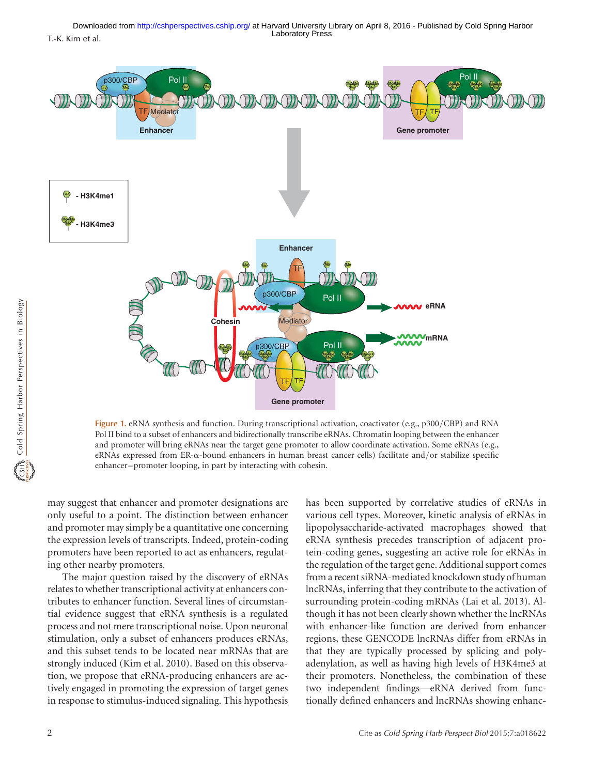T.-K. Kim et al. Laboratory Press Downloaded from<http://cshperspectives.cshlp.org/>at Harvard University Library on April 8, 2016 - Published by Cold Spring Harbor



Figure 1. eRNA synthesis and function. During transcriptional activation, coactivator (e.g., p300/CBP) and RNA Pol II bind to a subset of enhancers and bidirectionally transcribe eRNAs. Chromatin looping between the enhancer and promoter will bring eRNAs near the target gene promoter to allow coordinate activation. Some eRNAs (e.g., eRNAs expressed from ER-a-bound enhancers in human breast cancer cells) facilitate and/or stabilize specific enhancer–promoter looping, in part by interacting with cohesin.

may suggest that enhancer and promoter designations are only useful to a point. The distinction between enhancer and promoter may simply be a quantitative one concerning the expression levels of transcripts. Indeed, protein-coding promoters have been reported to act as enhancers, regulating other nearby promoters.

The major question raised by the discovery of eRNAs relates to whether transcriptional activity at enhancers contributes to enhancer function. Several lines of circumstantial evidence suggest that eRNA synthesis is a regulated process and not mere transcriptional noise. Upon neuronal stimulation, only a subset of enhancers produces eRNAs, and this subset tends to be located near mRNAs that are strongly induced (Kim et al. 2010). Based on this observation, we propose that eRNA-producing enhancers are actively engaged in promoting the expression of target genes in response to stimulus-induced signaling. This hypothesis has been supported by correlative studies of eRNAs in various cell types. Moreover, kinetic analysis of eRNAs in lipopolysaccharide-activated macrophages showed that eRNA synthesis precedes transcription of adjacent protein-coding genes, suggesting an active role for eRNAs in the regulation of the target gene. Additional support comes from a recent siRNA-mediated knockdown study of human lncRNAs, inferring that they contribute to the activation of surrounding protein-coding mRNAs (Lai et al. 2013). Although it has not been clearly shown whether the lncRNAs with enhancer-like function are derived from enhancer regions, these GENCODE lncRNAs differ from eRNAs in that they are typically processed by splicing and polyadenylation, as well as having high levels of H3K4me3 at their promoters. Nonetheless, the combination of these two independent findings—eRNA derived from functionally defined enhancers and lncRNAs showing enhanc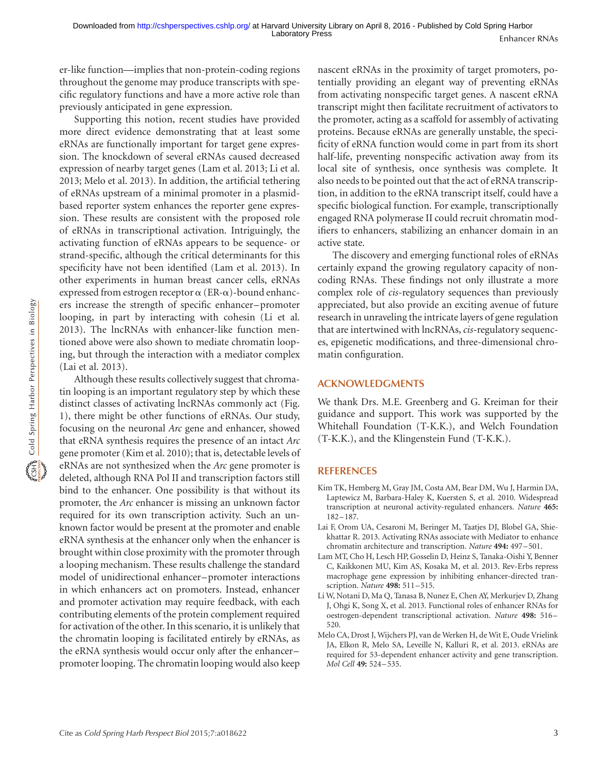er-like function—implies that non-protein-coding regions throughout the genome may produce transcripts with specific regulatory functions and have a more active role than previously anticipated in gene expression.

Supporting this notion, recent studies have provided more direct evidence demonstrating that at least some eRNAs are functionally important for target gene expression. The knockdown of several eRNAs caused decreased expression of nearby target genes (Lam et al. 2013; Li et al. 2013; Melo et al. 2013). In addition, the artificial tethering of eRNAs upstream of a minimal promoter in a plasmidbased reporter system enhances the reporter gene expression. These results are consistent with the proposed role of eRNAs in transcriptional activation. Intriguingly, the activating function of eRNAs appears to be sequence- or strand-specific, although the critical determinants for this specificity have not been identified (Lam et al. 2013). In other experiments in human breast cancer cells, eRNAs expressed from estrogen receptor  $\alpha$  (ER- $\alpha$ )-bound enhancers increase the strength of specific enhancer–promoter looping, in part by interacting with cohesin (Li et al. 2013). The lncRNAs with enhancer-like function mentioned above were also shown to mediate chromatin looping, but through the interaction with a mediator complex (Lai et al. 2013).

Although these results collectively suggest that chromatin looping is an important regulatory step by which these distinct classes of activating lncRNAs commonly act (Fig. 1), there might be other functions of eRNAs. Our study, focusing on the neuronal Arc gene and enhancer, showed that eRNA synthesis requires the presence of an intact Arc gene promoter (Kim et al. 2010); that is, detectable levels of eRNAs are not synthesized when the Arc gene promoter is deleted, although RNA Pol II and transcription factors still bind to the enhancer. One possibility is that without its promoter, the Arc enhancer is missing an unknown factor required for its own transcription activity. Such an unknown factor would be present at the promoter and enable eRNA synthesis at the enhancer only when the enhancer is brought within close proximity with the promoter through a looping mechanism. These results challenge the standard model of unidirectional enhancer–promoter interactions in which enhancers act on promoters. Instead, enhancer and promoter activation may require feedback, with each contributing elements of the protein complement required for activation of the other. In this scenario, it is unlikely that the chromatin looping is facilitated entirely by eRNAs, as the eRNA synthesis would occur only after the enhancer– promoter looping. The chromatin looping would also keep

nascent eRNAs in the proximity of target promoters, potentially providing an elegant way of preventing eRNAs from activating nonspecific target genes. A nascent eRNA transcript might then facilitate recruitment of activators to the promoter, acting as a scaffold for assembly of activating proteins. Because eRNAs are generally unstable, the specificity of eRNA function would come in part from its short half-life, preventing nonspecific activation away from its local site of synthesis, once synthesis was complete. It also needs to be pointed out that the act of eRNA transcription, in addition to the eRNA transcript itself, could have a specific biological function. For example, transcriptionally engaged RNA polymerase II could recruit chromatin modifiers to enhancers, stabilizing an enhancer domain in an active state.

The discovery and emerging functional roles of eRNAs certainly expand the growing regulatory capacity of noncoding RNAs. These findings not only illustrate a more complex role of cis-regulatory sequences than previously appreciated, but also provide an exciting avenue of future research in unraveling the intricate layers of gene regulation that are intertwined with lncRNAs, cis-regulatory sequences, epigenetic modifications, and three-dimensional chromatin configuration.

#### ACKNOWLEDGMENTS

We thank Drs. M.E. Greenberg and G. Kreiman for their guidance and support. This work was supported by the Whitehall Foundation (T-K.K.), and Welch Foundation (T-K.K.), and the Klingenstein Fund (T-K.K.).

#### **REFERENCES**

- Kim TK, Hemberg M, Gray JM, Costa AM, Bear DM, Wu J, Harmin DA, Laptewicz M, Barbara-Haley K, Kuersten S, et al. 2010. Widespread transcription at neuronal activity-regulated enhancers. Nature 465: 182–187.
- Lai F, Orom UA, Cesaroni M, Beringer M, Taatjes DJ, Blobel GA, Shiekhattar R. 2013. Activating RNAs associate with Mediator to enhance chromatin architecture and transcription. Nature 494: 497-501.
- Lam MT, Cho H, Lesch HP, Gosselin D, Heinz S, Tanaka-Oishi Y, Benner C, Kaikkonen MU, Kim AS, Kosaka M, et al. 2013. Rev-Erbs repress macrophage gene expression by inhibiting enhancer-directed transcription. Nature 498: 511-515.
- Li W, Notani D, Ma Q, Tanasa B, Nunez E, Chen AY, Merkurjev D, Zhang J, Ohgi K, Song X, et al. 2013. Functional roles of enhancer RNAs for oestrogen-dependent transcriptional activation. Nature 498: 516– 520.
- Melo CA, Drost J, Wijchers PJ, van de Werken H, de Wit E, Oude Vrielink JA, Elkon R, Melo SA, Leveille N, Kalluri R, et al. 2013. eRNAs are required for 53-dependent enhancer activity and gene transcription. Mol Cell 49: 524–535.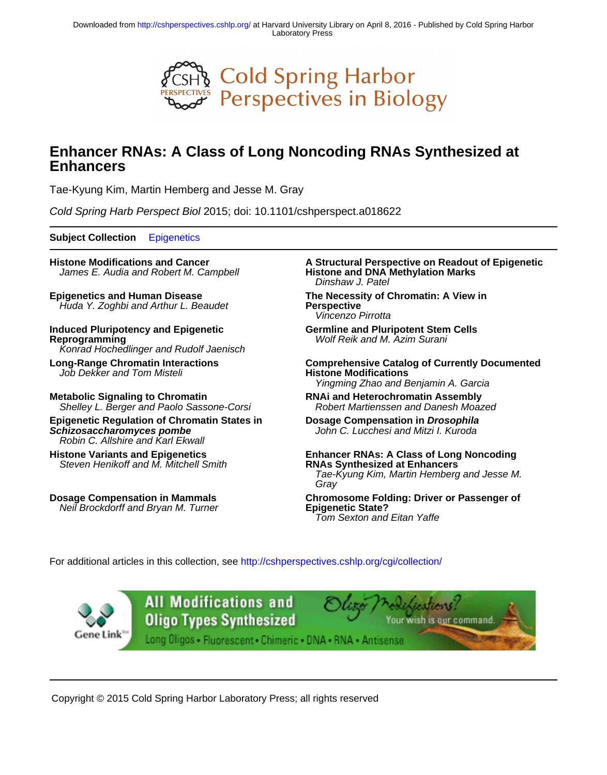

## **Enhancers Enhancer RNAs: A Class of Long Noncoding RNAs Synthesized at**

Tae-Kyung Kim, Martin Hemberg and Jesse M. Gray

Cold Spring Harb Perspect Biol 2015; doi: 10.1101/cshperspect.a018622

**Subject Collection** [Epigenetics](http://cshperspectives.cshlp.org/cgi/collection/)

**Histone Modifications and Cancer** James E. Audia and Robert M. Campbell **Histone and DNA Methylation Marks**

**Epigenetics and Human Disease** Huda Y. Zoghbi and Arthur L. Beaudet **Perspective** 

**Reprogramming Induced Pluripotency and Epigenetic** Konrad Hochedlinger and Rudolf Jaenisch

**Long-Range Chromatin Interactions** Job Dekker and Tom Misteli **Histone Modifications**

**Metabolic Signaling to Chromatin** Shelley L. Berger and Paolo Sassone-Corsi

**Schizosaccharomyces pombe Epigenetic Regulation of Chromatin States in**  Robin C. Allshire and Karl Ekwall

**Histone Variants and Epigenetics** Steven Henikoff and M. Mitchell Smith **RNAs Synthesized at Enhancers**

**Dosage Compensation in Mammals** Neil Brockdorff and Bryan M. Turner **Epigenetic State?** 

**A Structural Perspective on Readout of Epigenetic** Dinshaw J. Patel

**The Necessity of Chromatin: A View in** Vincenzo Pirrotta

**Germline and Pluripotent Stem Cells** Wolf Reik and M. Azim Surani

**Comprehensive Catalog of Currently Documented** Yingming Zhao and Benjamin A. Garcia

**RNAi and Heterochromatin Assembly** Robert Martienssen and Danesh Moazed

**Dosage Compensation in Drosophila** John C. Lucchesi and Mitzi I. Kuroda

**Enhancer RNAs: A Class of Long Noncoding** Gray Tae-Kyung Kim, Martin Hemberg and Jesse M.

**Chromosome Folding: Driver or Passenger of** Tom Sexton and Eitan Yaffe

For additional articles in this collection, see<http://cshperspectives.cshlp.org/cgi/collection/>



Copyright © 2015 Cold Spring Harbor Laboratory Press; all rights reserved